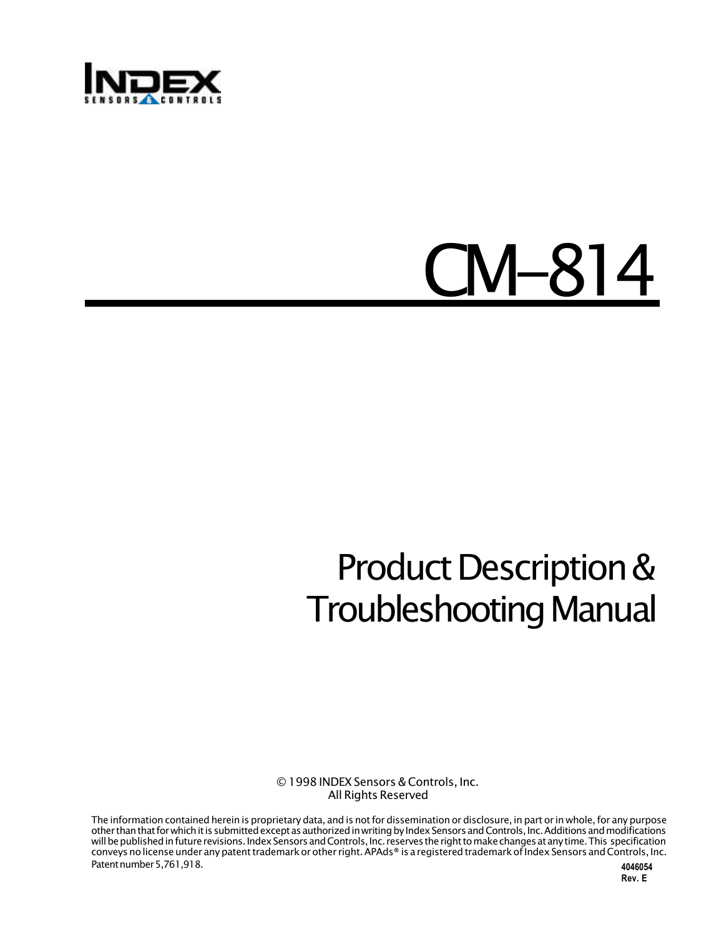

# CM-814

## Product Description & Troubleshooting Manual

#### © 1998 INDEX Sensors & Controls, Inc. All Rights Reserved

The information contained herein is proprietary data, and is not for dissemination or disclosure, in part or in whole, for any purpose other than that for which it is submitted except as authorized in writing by Index Sensors and Controls, Inc. Additions and modifications will be published in future revisions. Index Sensors and Controls, Inc. reserves the right to make changes at any time. This specification conveys no license under any patent trademark or other right. APAds® is a registered trademark of Index Sensors and Controls, Inc. Patent number 5,761,918. **4046054**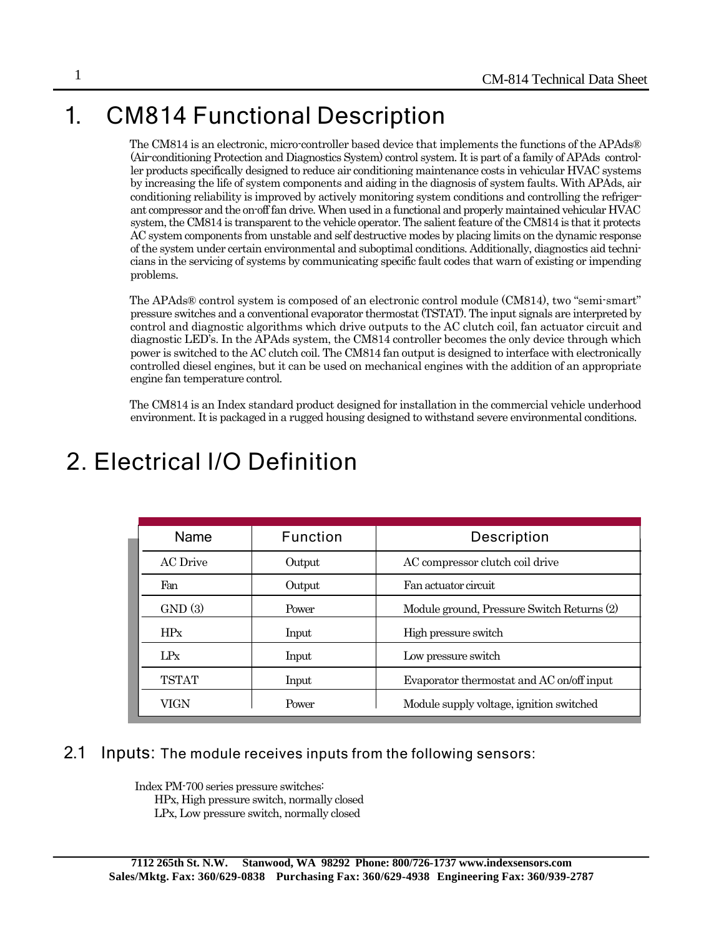## 1. CM814 Functional Description

The CM814 is an electronic, micro-controller based device that implements the functions of the APAds® (Air-conditioning Protection and Diagnostics System) control system. It is part of a family of APAds controller products specifically designed to reduce air conditioning maintenance costs in vehicular HVAC systems by increasing the life of system components and aiding in the diagnosis of system faults. With APAds, air conditioning reliability is improved by actively monitoring system conditions and controlling the refrigerant compressor and the on-off fan drive. When used in a functional and properly maintained vehicular HVAC system, the CM814 is transparent to the vehicle operator. The salient feature of the CM814 is that it protects AC system components from unstable and self destructive modes by placing limits on the dynamic response of the system under certain environmental and suboptimal conditions. Additionally, diagnostics aid technicians in the servicing of systems by communicating specific fault codes that warn of existing or impending problems.

The APAds® control system is composed of an electronic control module (CM814), two "semi-smart" pressure switches and a conventional evaporator thermostat (TSTAT). The input signals are interpreted by control and diagnostic algorithms which drive outputs to the AC clutch coil, fan actuator circuit and diagnostic LED's. In the APAds system, the CM814 controller becomes the only device through which power is switched to the AC clutch coil. The CM814 fan output is designed to interface with electronically controlled diesel engines, but it can be used on mechanical engines with the addition of an appropriate engine fan temperature control.

The CM814 is an Index standard product designed for installation in the commercial vehicle underhood environment. It is packaged in a rugged housing designed to withstand severe environmental conditions.

| Name         | Function | Description                                |
|--------------|----------|--------------------------------------------|
| AC Drive     | Output   | AC compressor clutch coil drive            |
| Fan          | Output   | Fan actuator circuit                       |
| GND(3)       | Power    | Module ground, Pressure Switch Returns (2) |
| HPx          | Input    | High pressure switch                       |
| LPx          | Input    | Low pressure switch                        |
| <b>TSTAT</b> | Input    | Evaporator thermostat and AC on/off input  |
| VIGN         | Power    | Module supply voltage, ignition switched   |

## 2. Electrical I/O Definition

#### 2.1 Inputs: The module receives inputs from the following sensors:

Index PM-700 series pressure switches: HPx, High pressure switch, normally closed LPx, Low pressure switch, normally closed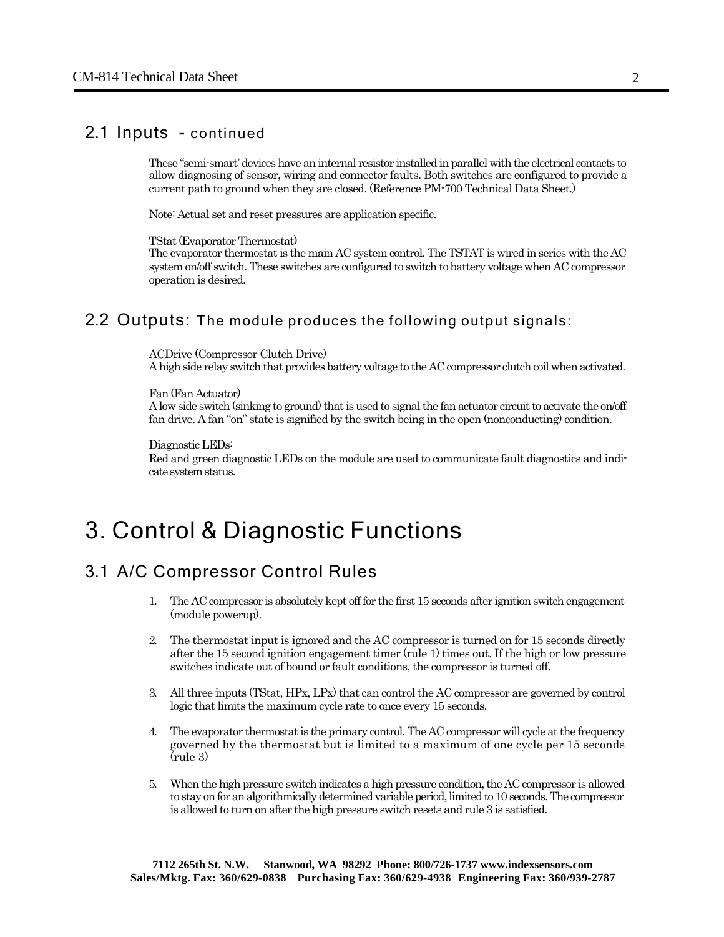#### 2.1 Inputs - continued

These "semi-smart' devices have an internal resistor installed in parallel with the electrical contacts to allow diagnosing of sensor, wiring and connector faults. Both switches are configured to provide a current path to ground when they are closed. (Reference PM-700 Technical Data Sheet.)

Note: Actual set and reset pressures are application specific.

TStat (Evaporator Thermostat)

The evaporator thermostat is the main AC system control. The TSTAT is wired in series with the AC system on/off switch. These switches are configured to switch to battery voltage when AC compressor operation is desired.

#### 2.2 Outputs: The module produces the following output signals:

ACDrive (Compressor Clutch Drive) A high side relay switch that provides battery voltage to the AC compressor clutch coil when activated.

Fan (Fan Actuator)

A low side switch (sinking to ground) that is used to signal the fan actuator circuit to activate the on/off fan drive. A fan "on" state is signified by the switch being in the open (nonconducting) condition.

Diagnostic LEDs:

Red and green diagnostic LEDs on the module are used to communicate fault diagnostics and indicate system status.

### 3. Control & Diagnostic Functions

#### 3.1 A/C Compressor Control Rules

- 1. The AC compressor is absolutely kept off for the first 15 seconds after ignition switch engagement (module powerup).
- 2. The thermostat input is ignored and the AC compressor is turned on for 15 seconds directly after the 15 second ignition engagement timer (rule 1) times out. If the high or low pressure switches indicate out of bound or fault conditions, the compressor is turned off.
- 3. All three inputs (TStat, HPx, LPx) that can control the AC compressor are governed by control logic that limits the maximum cycle rate to once every 15 seconds.
- 4. The evaporator thermostat is the primary control. The AC compressor will cycle at the frequency governed by the thermostat but is limited to a maximum of one cycle per 15 seconds (rule 3)
- 5. When the high pressure switch indicates a high pressure condition, the AC compressor is allowed to stay on for an algorithmically determined variable period, limited to 10 seconds. The compressor is allowed to turn on after the high pressure switch resets and rule 3 is satisfied.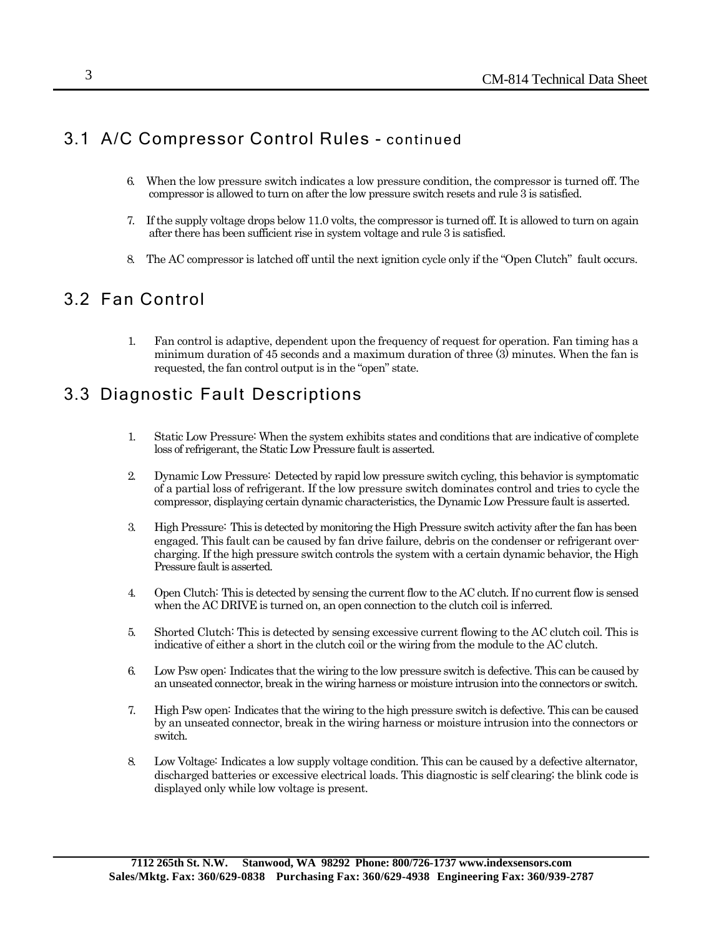#### 3.1 A/C Compressor Control Rules - continued

- 6. When the low pressure switch indicates a low pressure condition, the compressor is turned off. The compressor is allowed to turn on after the low pressure switch resets and rule 3 is satisfied.
- 7. If the supply voltage drops below 11.0 volts, the compressor is turned off. It is allowed to turn on again after there has been sufficient rise in system voltage and rule 3 is satisfied.
- 8. The AC compressor is latched off until the next ignition cycle only if the "Open Clutch" fault occurs.

#### 3.2 Fan Control

1. Fan control is adaptive, dependent upon the frequency of request for operation. Fan timing has a minimum duration of 45 seconds and a maximum duration of three (3) minutes. When the fan is requested, the fan control output is in the "open" state.

#### 3.3 Diagnostic Fault Descriptions

- 1. Static Low Pressure: When the system exhibits states and conditions that are indicative of complete loss of refrigerant, the Static Low Pressure fault is asserted.
- 2. Dynamic Low Pressure: Detected by rapid low pressure switch cycling, this behavior is symptomatic of a partial loss of refrigerant. If the low pressure switch dominates control and tries to cycle the compressor, displaying certain dynamic characteristics, the Dynamic Low Pressure fault is asserted.
- 3. High Pressure: This is detected by monitoring the High Pressure switch activity after the fan has been engaged. This fault can be caused by fan drive failure, debris on the condenser or refrigerant overcharging. If the high pressure switch controls the system with a certain dynamic behavior, the High Pressure fault is asserted.
- 4. Open Clutch: This is detected by sensing the current flow to the AC clutch. If no current flow is sensed when the AC DRIVE is turned on, an open connection to the clutch coil is inferred.
- 5. Shorted Clutch: This is detected by sensing excessive current flowing to the AC clutch coil. This is indicative of either a short in the clutch coil or the wiring from the module to the AC clutch.
- 6. Low Psw open: Indicates that the wiring to the low pressure switch is defective. This can be caused by an unseated connector, break in the wiring harness or moisture intrusion into the connectors or switch.
- 7. High Psw open: Indicates that the wiring to the high pressure switch is defective. This can be caused by an unseated connector, break in the wiring harness or moisture intrusion into the connectors or switch.
- 8. Low Voltage: Indicates a low supply voltage condition. This can be caused by a defective alternator, discharged batteries or excessive electrical loads. This diagnostic is self clearing; the blink code is displayed only while low voltage is present.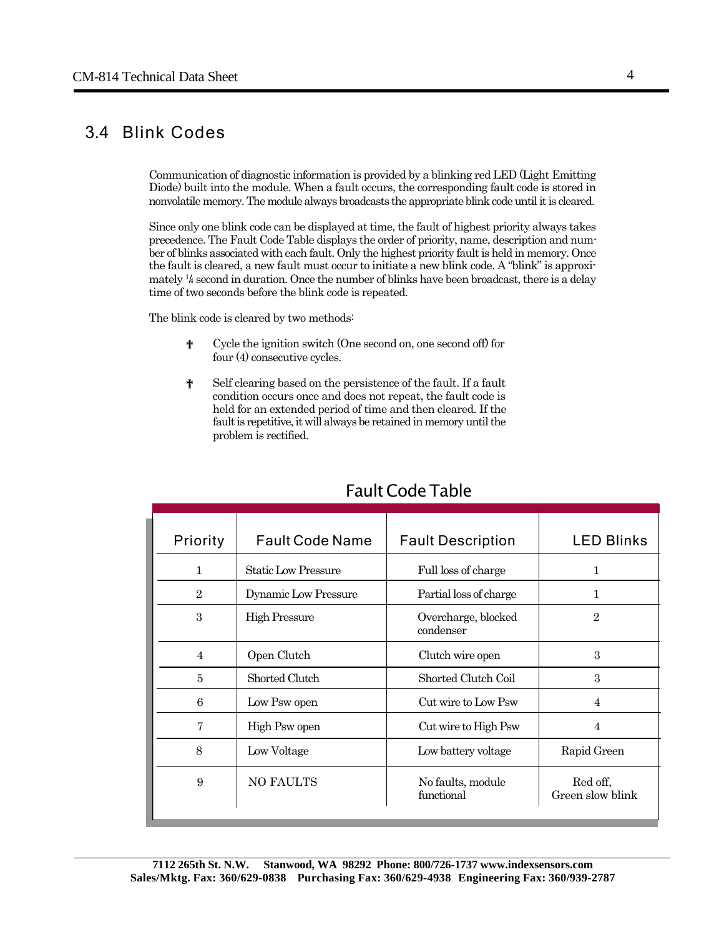#### 3.4 Blink Codes

Communication of diagnostic information is provided by a blinking red LED (Light Emitting Diode) built into the module. When a fault occurs, the corresponding fault code is stored in nonvolatile memory. The module always broadcasts the appropriate blink code until it is cleared.

Since only one blink code can be displayed at time, the fault of highest priority always takes precedence. The Fault Code Table displays the order of priority, name, description and number of blinks associated with each fault. Only the highest priority fault is held in memory. Once the fault is cleared, a new fault must occur to initiate a new blink code. A "blink" is approximately <sup>1</sup>/<sub>4</sub> second in duration. Once the number of blinks have been broadcast, there is a delay time of two seconds before the blink code is repeated.

The blink code is cleared by two methods:

- ? Cycle the ignition switch (One second on, one second off) for four (4) consecutive cycles.
- ? Self clearing based on the persistence of the fault. If a fault condition occurs once and does not repeat, the fault code is held for an extended period of time and then cleared. If the fault is repetitive, it will always be retained in memory until the problem is rectified.

| Priority       | <b>Fault Code Name</b>     | <b>Fault Description</b>         | <b>LED Blinks</b>            |
|----------------|----------------------------|----------------------------------|------------------------------|
| $\mathbf{1}$   | <b>Static Low Pressure</b> | Full loss of charge              | 1                            |
| $\overline{2}$ | Dynamic Low Pressure       | Partial loss of charge           | 1                            |
| 3              | <b>High Pressure</b>       | Overcharge, blocked<br>condenser | $\overline{2}$               |
| $\overline{4}$ | Open Clutch                | Clutch wire open                 | 3                            |
| 5              | Shorted Clutch             | Shorted Clutch Coil              | 3                            |
| 6              | Low Psw open               | Cut wire to Low Psw              | $\overline{4}$               |
| 7              | High Psw open              | Cut wire to High Psw             | $\overline{4}$               |
| 8              | Low Voltage                | Low battery voltage              | Rapid Green                  |
| 9              | NO FAULTS                  | No faults, module<br>functional  | Red off,<br>Green slow blink |

#### Fault Code Table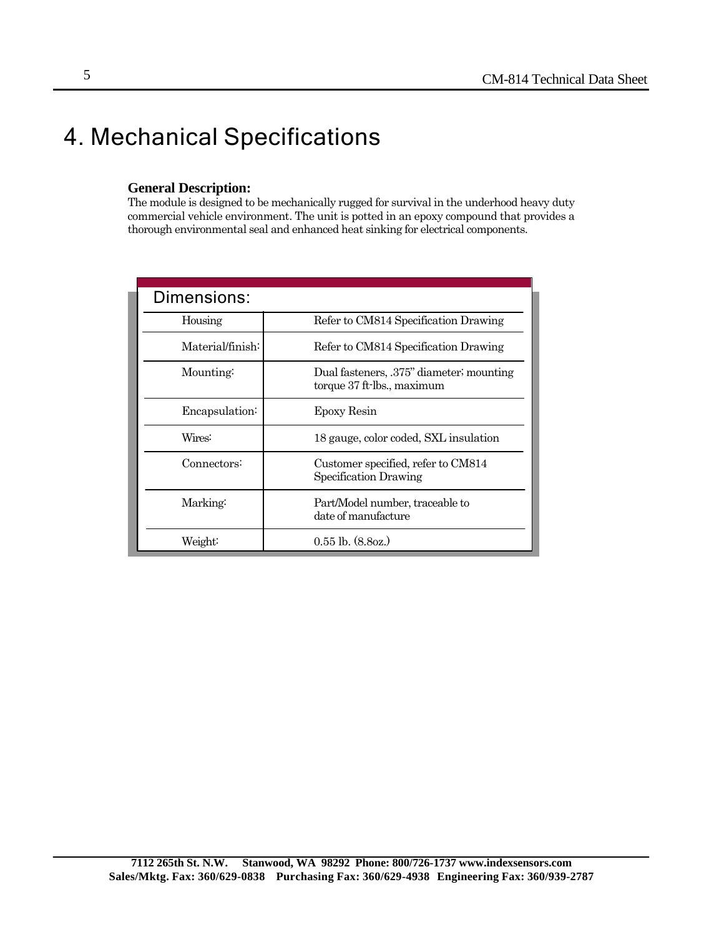## 4. Mechanical Specifications

#### **General Description:**

The module is designed to be mechanically rugged for survival in the underhood heavy duty commercial vehicle environment. The unit is potted in an epoxy compound that provides a thorough environmental seal and enhanced heat sinking for electrical components.

| Dimensions:      |                                                                        |  |  |  |  |
|------------------|------------------------------------------------------------------------|--|--|--|--|
| Housing          | Refer to CM814 Specification Drawing                                   |  |  |  |  |
| Material/finish: | Refer to CM814 Specification Drawing                                   |  |  |  |  |
| Mounting:        | Dual fasteners, .375" diameter; mounting<br>torque 37 ft-lbs., maximum |  |  |  |  |
| Encapsulation:   | Epoxy Resin                                                            |  |  |  |  |
| Wires:           | 18 gauge, color coded, SXL insulation                                  |  |  |  |  |
| Connectors:      | Customer specified, refer to CM814<br>Specification Drawing            |  |  |  |  |
| Marking:         | Part/Model number, traceable to<br>date of manufacture                 |  |  |  |  |
| Weight:          | $0.55$ lb. $(8.80z)$                                                   |  |  |  |  |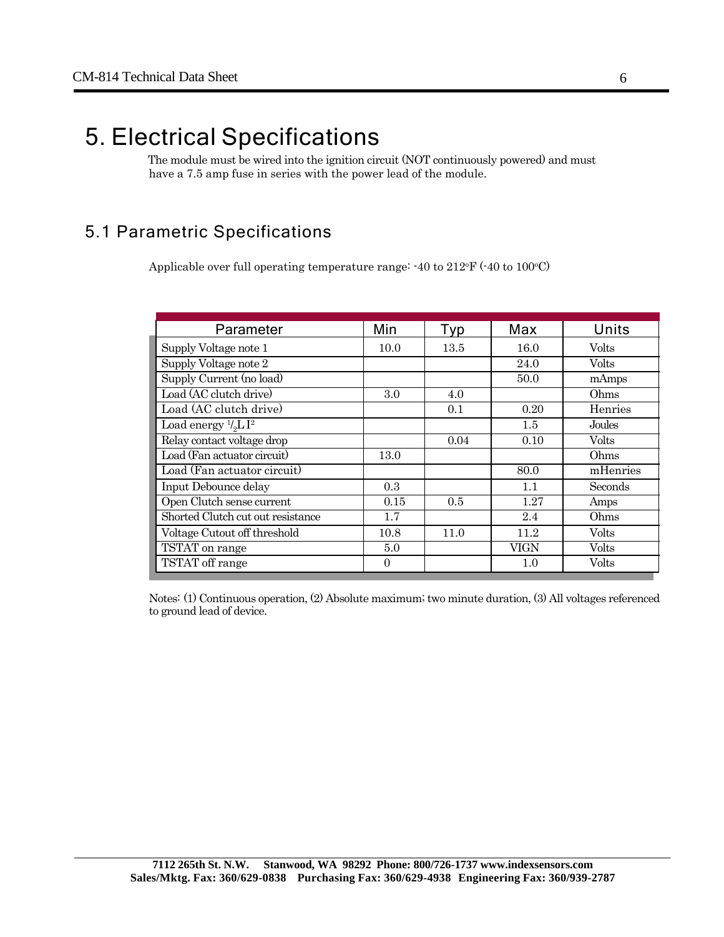## 5. Electrical Specifications

The module must be wired into the ignition circuit (NOT continuously powered) and must have a 7.5 amp fuse in series with the power lead of the module.

#### 5.1 Parametric Specifications

Applicable over full operating temperature range:  $-40$  to  $212\text{°F}$  ( $-40$  to  $100\text{°C}$ )

| Parameter                         | Min      | Typ  | Max  | Units        |
|-----------------------------------|----------|------|------|--------------|
| Supply Voltage note 1             | 10.0     | 13.5 | 16.0 | <b>Volts</b> |
| Supply Voltage note 2             |          |      | 24.0 | Volts        |
| Supply Current (no load)          |          |      | 50.0 | mAmps        |
| Load (AC clutch drive)            | 3.0      | 4.0  |      | Ohms         |
| Load (AC clutch drive)            |          | 0.1  | 0.20 | Henries      |
| Load energy $\frac{1}{6}$ L $I^2$ |          |      | 1.5  | Joules       |
| Relay contact voltage drop        |          | 0.04 | 0.10 | <b>Volts</b> |
| Load (Fan actuator circuit)       | 13.0     |      |      | Ohms         |
| Load (Fan actuator circuit)       |          |      | 80.0 | mHenries     |
| Input Debounce delay              | 0.3      |      | 1.1  | Seconds      |
| Open Clutch sense current         | 0.15     | 0.5  | 1.27 | Amps         |
| Shorted Clutch cut out resistance | 1.7      |      | 2.4  | Ohms         |
| Voltage Cutout off threshold      | 10.8     | 11.0 | 11.2 | Volts        |
| TSTAT on range                    | 5.0      |      | VIGN | Volts        |
| TSTAT off range                   | $\Omega$ |      | 1.0  | Volts        |

Notes: (1) Continuous operation, (2) Absolute maximum; two minute duration, (3) All voltages referenced to ground lead of device.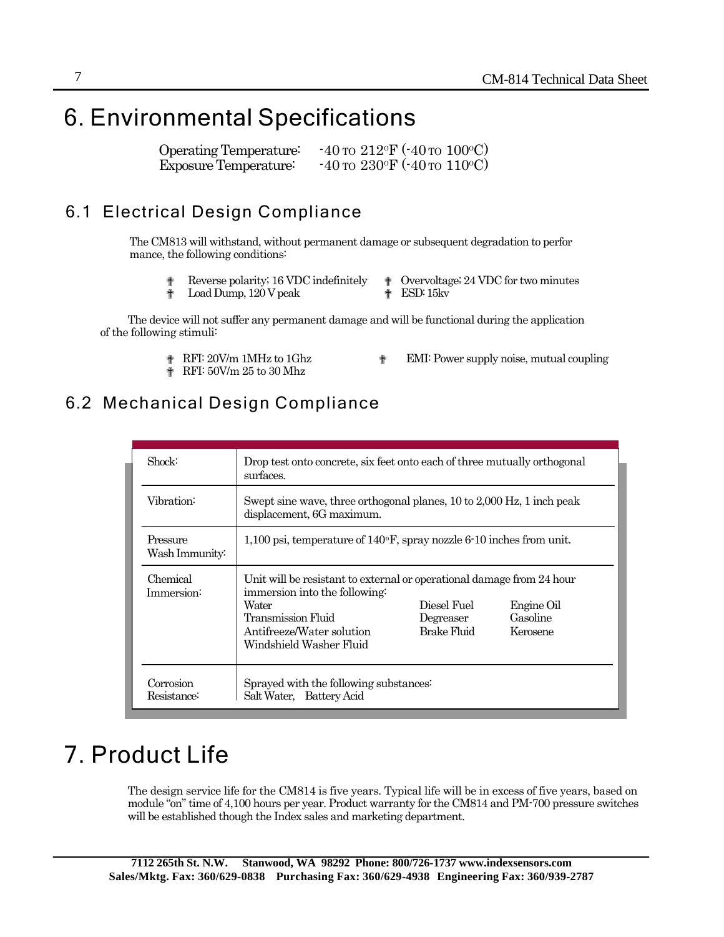## 6. Environmental Specifications

Operating Temperature:  $-40 \text{ to } 212 \text{°F}$  ( $-40 \text{ to } 100 \text{°C}$ ) Exposure Temperature:  $-40 \text{ to } 230$ °F ( $-40 \text{ to } 110$ °C)

#### 6.1 Electrical Design Compliance

The CM813 will withstand, without permanent damage or subsequent degradation to perfor mance, the following conditions:

<sup>†</sup> Reverse polarity; 16 VDC indefinitely  $\qquad \bullet$  Overvoltage; 24 VDC for two minutes **P** Load Dump, 120 V peak **P** ESD: 15kv

The device will not suffer any permanent damage and will be functional during the application of the following stimuli:

- 
- **P** RFI: 50V/m 25 to 30 Mhz
- ? RFI: 20V/m 1MHz to 1Ghz ? EMI: Power supply noise, mutual coupling

#### 6.2 Mechanical Design Compliance

| Shock:                                                                                        | Drop test onto concrete, six feet onto each of three mutually orthogonal<br>surfaces.                                                                                                                                                                                          |  |  |
|-----------------------------------------------------------------------------------------------|--------------------------------------------------------------------------------------------------------------------------------------------------------------------------------------------------------------------------------------------------------------------------------|--|--|
| Vibration:                                                                                    | Swept sine wave, three orthogonal planes, 10 to 2,000 Hz, 1 inch peak<br>displacement, 6G maximum.                                                                                                                                                                             |  |  |
| Pressure<br>Wash Immunity:                                                                    | 1,100 psi, temperature of $140^{\circ}$ F, spray nozzle 6-10 inches from unit.                                                                                                                                                                                                 |  |  |
| Chemical<br>Immersion:                                                                        | Unit will be resistant to external or operational damage from 24 hour<br>immersion into the following:<br>Water<br>Diesel Fuel<br>Engine Oil<br>Transmission Fluid<br>Gasoline<br>Degreaser<br>Brake Fluid<br>Antifreeze/Water solution<br>Kerosene<br>Windshield Washer Fluid |  |  |
| Corrosion<br>Sprayed with the following substances<br>Salt Water, Battery Acid<br>Resistance: |                                                                                                                                                                                                                                                                                |  |  |

## 7. Product Life

The design service life for the CM814 is five years. Typical life will be in excess of five years, based on module "on" time of 4,100 hours per year. Product warranty for the CM814 and PM-700 pressure switches will be established though the Index sales and marketing department.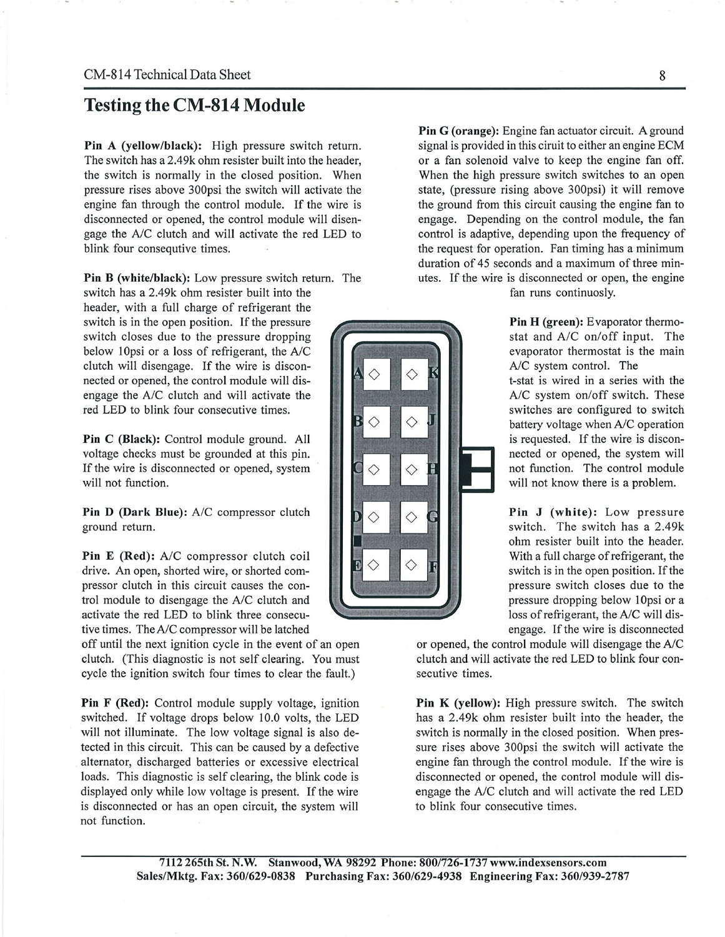#### **Testing the CM-814 Module**

Pin A (yellow/black): High pressure switch return. The switch has a 2.49k ohm resister built into the header, the switch is normally in the closed position. When pressure rises above 300psi the switch will activate the engine fan through the control module. If the wire is disconnected or opened, the control module will disengage the A/C clutch and will activate the red LED to blink four consequtive times.

**Pin B (white/black):** Low pressure switch return. The switch has a 2.49k ohm resister built into the header, with a full charge of refrigerant the switch is in the open position. If the pressure switch closes due to the pressure dropping below 10psi or a loss of refrigerant, the A/C clutch will disengage. If the wire is disconnected or opened, the control module will disengage the A/C clutch and will activate the red LED to blink four consecutive times.

Pin C (Black): Control module ground. All voltage checks must be grounded at this pin. If the wire is disconnected or opened, system will not function.

Pin D (Dark Blue): A/C compressor clutch ground return.

Pin E (Red): A/C compressor clutch coil drive. An open, shorted wire, or shorted compressor clutch in this circuit causes the control module to disengage the A/C clutch and activate the red LED to blink three consecutive times. The A/C compressor will be latched

off until the next ignition cycle in the event of an open clutch. (This diagnostic is not self clearing. You must cycle the ignition switch four times to clear the fault.)

Pin F (Red): Control module supply voltage, ignition switched. If voltage drops below 10.0 volts, the LED will not illuminate. The low voltage signal is also detected in this circuit. This can be caused by a defective alternator, discharged batteries or excessive electrical loads. This diagnostic is self clearing, the blink code is displayed only while low voltage is present. If the wire is disconnected or has an open circuit, the system will not function.

Pin G (orange): Engine fan actuator circuit. A ground signal is provided in this ciruit to either an engine ECM or a fan solenoid valve to keep the engine fan off. When the high pressure switch switches to an open state, (pressure rising above 300psi) it will remove the ground from this circuit causing the engine fan to engage. Depending on the control module, the fan control is adaptive, depending upon the frequency of the request for operation. Fan timing has a minimum duration of 45 seconds and a maximum of three minutes. If the wire is disconnected or open, the engine fan runs continuosly.

Pin H (green): Evaporator thermostat and A/C on/off input. The evaporator thermostat is the main A/C system control. The t-stat is wired in a series with the A/C system on/off switch. These switches are configured to switch battery voltage when A/C operation is requested. If the wire is disconnected or opened, the system will not function. The control module will not know there is a problem.

Pin J (white): Low pressure switch. The switch has a 2.49k ohm resister built into the header. With a full charge of refrigerant, the switch is in the open position. If the pressure switch closes due to the pressure dropping below 10psi or a loss of refrigerant, the A/C will disengage. If the wire is disconnected

or opened, the control module will disengage the A/C clutch and will activate the red LED to blink four consecutive times.

**Pin K (yellow):** High pressure switch. The switch has a 2.49k ohm resister built into the header, the switch is normally in the closed position. When pressure rises above 300psi the switch will activate the engine fan through the control module. If the wire is disconnected or opened, the control module will disengage the A/C clutch and will activate the red LED to blink four consecutive times.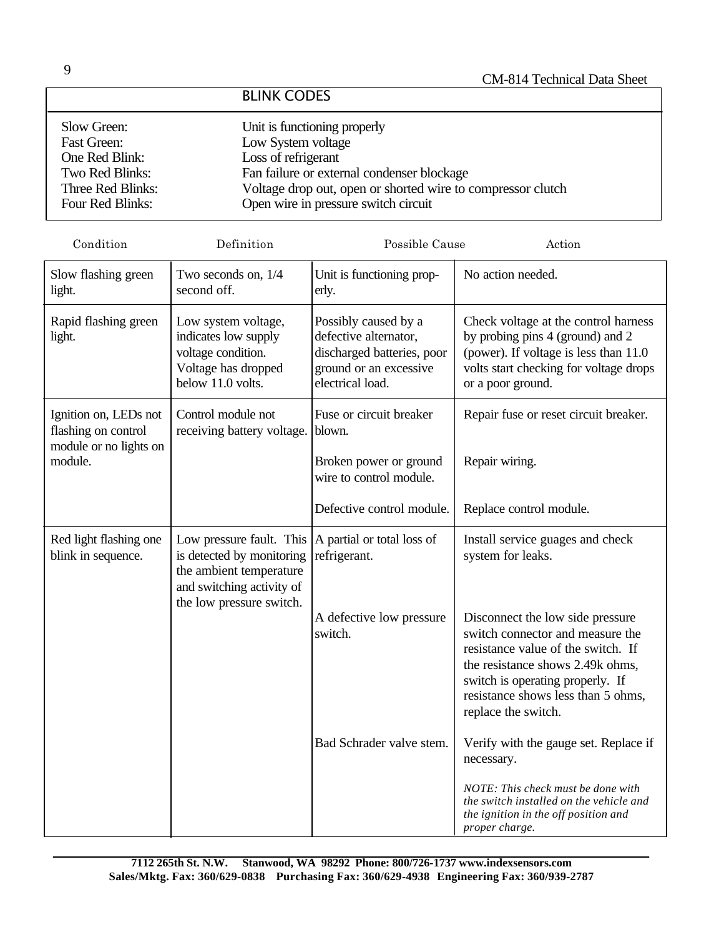#### BLINK CODES

| Slow Green:<br><b>Fast Green:</b><br>One Red Blink:<br>Two Red Blinks:<br>Three Red Blinks: | Unit is functioning properly<br>Low System voltage<br>Loss of refrigerant<br>Fan failure or external condenser blockage<br>Voltage drop out, open or shorted wire to compressor clutch |
|---------------------------------------------------------------------------------------------|----------------------------------------------------------------------------------------------------------------------------------------------------------------------------------------|
| Four Red Blinks:                                                                            | Open wire in pressure switch circuit                                                                                                                                                   |
|                                                                                             |                                                                                                                                                                                        |

| Condition                                                              | Definition                                                                                                                                | Possible Cause                                                                                                            | Action                                                                                                                                                                                                                                          |
|------------------------------------------------------------------------|-------------------------------------------------------------------------------------------------------------------------------------------|---------------------------------------------------------------------------------------------------------------------------|-------------------------------------------------------------------------------------------------------------------------------------------------------------------------------------------------------------------------------------------------|
| Slow flashing green<br>light.                                          | Two seconds on, 1/4<br>second off.                                                                                                        | Unit is functioning prop-<br>erly.                                                                                        | No action needed.                                                                                                                                                                                                                               |
| Rapid flashing green<br>light.                                         | Low system voltage,<br>indicates low supply<br>voltage condition.<br>Voltage has dropped<br>below 11.0 volts.                             | Possibly caused by a<br>defective alternator,<br>discharged batteries, poor<br>ground or an excessive<br>electrical load. | Check voltage at the control harness<br>by probing pins 4 (ground) and 2<br>(power). If voltage is less than 11.0<br>volts start checking for voltage drops<br>or a poor ground.                                                                |
| Ignition on, LEDs not<br>flashing on control<br>module or no lights on | Control module not<br>receiving battery voltage.                                                                                          | Fuse or circuit breaker<br>blown.                                                                                         | Repair fuse or reset circuit breaker.                                                                                                                                                                                                           |
| module.                                                                |                                                                                                                                           | Broken power or ground<br>wire to control module.                                                                         | Repair wiring.                                                                                                                                                                                                                                  |
|                                                                        |                                                                                                                                           | Defective control module.                                                                                                 | Replace control module.                                                                                                                                                                                                                         |
| Red light flashing one<br>blink in sequence.                           | Low pressure fault. This<br>is detected by monitoring<br>the ambient temperature<br>and switching activity of<br>the low pressure switch. | A partial or total loss of<br>refrigerant.                                                                                | Install service guages and check<br>system for leaks.                                                                                                                                                                                           |
|                                                                        |                                                                                                                                           | A defective low pressure<br>switch.                                                                                       | Disconnect the low side pressure<br>switch connector and measure the<br>resistance value of the switch. If<br>the resistance shows 2.49k ohms,<br>switch is operating properly. If<br>resistance shows less than 5 ohms,<br>replace the switch. |
|                                                                        |                                                                                                                                           | Bad Schrader valve stem.                                                                                                  | Verify with the gauge set. Replace if<br>necessary.                                                                                                                                                                                             |
|                                                                        |                                                                                                                                           |                                                                                                                           | NOTE: This check must be done with<br>the switch installed on the vehicle and<br>the ignition in the off position and<br>proper charge.                                                                                                         |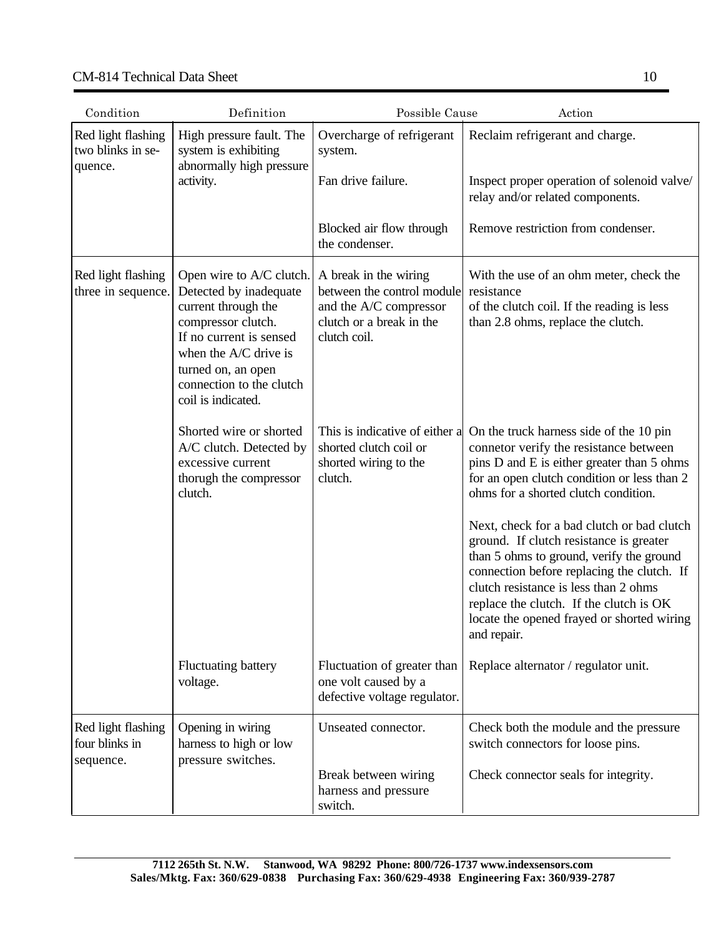#### CM-814 Technical Data Sheet

| Condition                                          | Definition                                                                                                                                                                                                                  | Possible Cause<br>Action                                                                                                  |                                                                                                                                                                                                                                                                                                                                                                                                                                                                                                                                                            |  |
|----------------------------------------------------|-----------------------------------------------------------------------------------------------------------------------------------------------------------------------------------------------------------------------------|---------------------------------------------------------------------------------------------------------------------------|------------------------------------------------------------------------------------------------------------------------------------------------------------------------------------------------------------------------------------------------------------------------------------------------------------------------------------------------------------------------------------------------------------------------------------------------------------------------------------------------------------------------------------------------------------|--|
| Red light flashing<br>two blinks in se-<br>quence. | High pressure fault. The<br>system is exhibiting<br>abnormally high pressure<br>activity.                                                                                                                                   | Overcharge of refrigerant<br>system.                                                                                      | Reclaim refrigerant and charge.                                                                                                                                                                                                                                                                                                                                                                                                                                                                                                                            |  |
|                                                    |                                                                                                                                                                                                                             | Fan drive failure.                                                                                                        | Inspect proper operation of solenoid valve/<br>relay and/or related components.                                                                                                                                                                                                                                                                                                                                                                                                                                                                            |  |
|                                                    |                                                                                                                                                                                                                             | Blocked air flow through<br>the condenser.                                                                                | Remove restriction from condenser.                                                                                                                                                                                                                                                                                                                                                                                                                                                                                                                         |  |
| Red light flashing<br>three in sequence.           | Open wire to A/C clutch.<br>Detected by inadequate<br>current through the<br>compressor clutch.<br>If no current is sensed<br>when the A/C drive is<br>turned on, an open<br>connection to the clutch<br>coil is indicated. | A break in the wiring<br>between the control module<br>and the A/C compressor<br>clutch or a break in the<br>clutch coil. | With the use of an ohm meter, check the<br>resistance<br>of the clutch coil. If the reading is less<br>than 2.8 ohms, replace the clutch.                                                                                                                                                                                                                                                                                                                                                                                                                  |  |
|                                                    | Shorted wire or shorted<br>A/C clutch. Detected by<br>excessive current<br>thorugh the compressor<br>clutch.                                                                                                                | This is indicative of either a<br>shorted clutch coil or<br>shorted wiring to the<br>clutch.                              | On the truck harness side of the 10 pin<br>connetor verify the resistance between<br>pins D and E is either greater than 5 ohms<br>for an open clutch condition or less than 2<br>ohms for a shorted clutch condition.<br>Next, check for a bad clutch or bad clutch<br>ground. If clutch resistance is greater<br>than 5 ohms to ground, verify the ground<br>connection before replacing the clutch. If<br>clutch resistance is less than 2 ohms<br>replace the clutch. If the clutch is OK<br>locate the opened frayed or shorted wiring<br>and repair. |  |
|                                                    | <b>Fluctuating battery</b><br>voltage.                                                                                                                                                                                      | Fluctuation of greater than<br>one volt caused by a<br>defective voltage regulator.                                       | Replace alternator / regulator unit.                                                                                                                                                                                                                                                                                                                                                                                                                                                                                                                       |  |
| Red light flashing<br>four blinks in<br>sequence.  | Opening in wiring<br>harness to high or low<br>pressure switches.                                                                                                                                                           | Unseated connector.<br>Break between wiring                                                                               | Check both the module and the pressure<br>switch connectors for loose pins.<br>Check connector seals for integrity.                                                                                                                                                                                                                                                                                                                                                                                                                                        |  |
|                                                    |                                                                                                                                                                                                                             | harness and pressure<br>switch.                                                                                           |                                                                                                                                                                                                                                                                                                                                                                                                                                                                                                                                                            |  |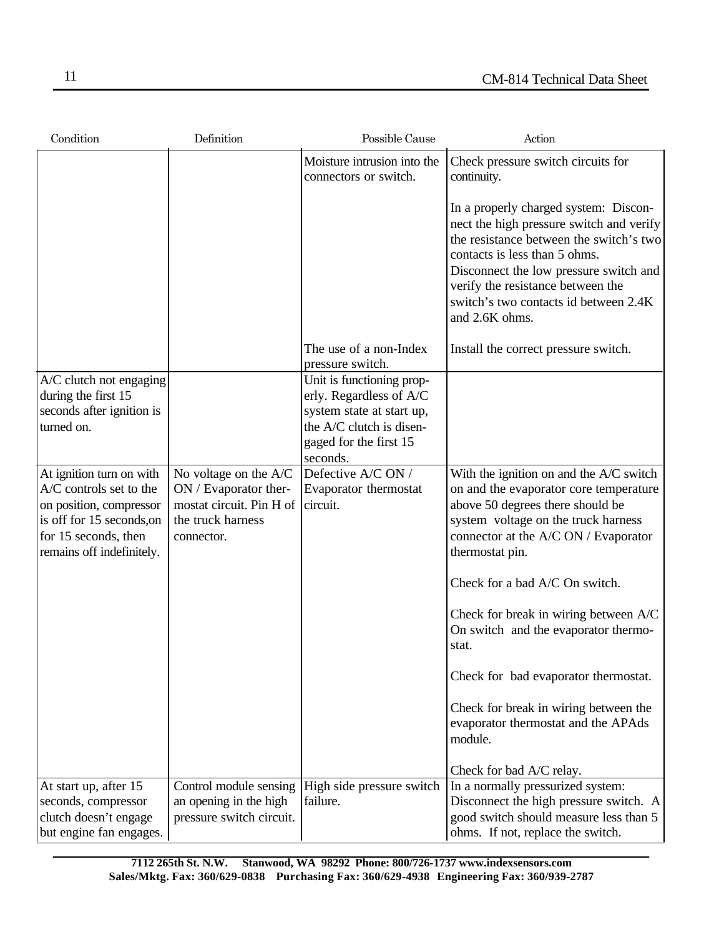| Condition                                                                                                                                                        | Definition                                                                                                    | Possible Cause                                                                                                                                      | Action                                                                                                                                                                                                                                                                                                  |
|------------------------------------------------------------------------------------------------------------------------------------------------------------------|---------------------------------------------------------------------------------------------------------------|-----------------------------------------------------------------------------------------------------------------------------------------------------|---------------------------------------------------------------------------------------------------------------------------------------------------------------------------------------------------------------------------------------------------------------------------------------------------------|
|                                                                                                                                                                  |                                                                                                               | Moisture intrusion into the<br>connectors or switch.                                                                                                | Check pressure switch circuits for<br>continuity.                                                                                                                                                                                                                                                       |
|                                                                                                                                                                  |                                                                                                               |                                                                                                                                                     | In a properly charged system: Discon-<br>nect the high pressure switch and verify<br>the resistance between the switch's two<br>contacts is less than 5 ohms.<br>Disconnect the low pressure switch and<br>verify the resistance between the<br>switch's two contacts id between 2.4K<br>and 2.6K ohms. |
|                                                                                                                                                                  |                                                                                                               | The use of a non-Index<br>pressure switch.                                                                                                          | Install the correct pressure switch.                                                                                                                                                                                                                                                                    |
| A/C clutch not engaging<br>during the first 15<br>seconds after ignition is<br>turned on.                                                                        |                                                                                                               | Unit is functioning prop-<br>erly. Regardless of A/C<br>system state at start up,<br>the A/C clutch is disen-<br>gaged for the first 15<br>seconds. |                                                                                                                                                                                                                                                                                                         |
| At ignition turn on with<br>A/C controls set to the<br>on position, compressor<br>is off for 15 seconds, on<br>for 15 seconds, then<br>remains off indefinitely. | No voltage on the A/C<br>ON / Evaporator ther-<br>mostat circuit. Pin H of<br>the truck harness<br>connector. | Defective A/C ON /<br>Evaporator thermostat<br>circuit.                                                                                             | With the ignition on and the A/C switch<br>on and the evaporator core temperature<br>above 50 degrees there should be<br>system voltage on the truck harness<br>connector at the A/C ON / Evaporator<br>thermostat pin.                                                                                 |
|                                                                                                                                                                  |                                                                                                               |                                                                                                                                                     | Check for a bad A/C On switch.                                                                                                                                                                                                                                                                          |
|                                                                                                                                                                  |                                                                                                               |                                                                                                                                                     | Check for break in wiring between A/C<br>On switch and the evaporator thermo-<br>stat.                                                                                                                                                                                                                  |
|                                                                                                                                                                  |                                                                                                               |                                                                                                                                                     | Check for bad evaporator thermostat.                                                                                                                                                                                                                                                                    |
|                                                                                                                                                                  |                                                                                                               |                                                                                                                                                     | Check for break in wiring between the<br>evaporator thermostat and the APAds<br>module.                                                                                                                                                                                                                 |
|                                                                                                                                                                  |                                                                                                               |                                                                                                                                                     | Check for bad A/C relay.                                                                                                                                                                                                                                                                                |
| At start up, after 15<br>seconds, compressor<br>clutch doesn't engage<br>but engine fan engages.                                                                 | Control module sensing<br>an opening in the high<br>pressure switch circuit.                                  | High side pressure switch<br>failure.                                                                                                               | In a normally pressurized system:<br>Disconnect the high pressure switch. A<br>good switch should measure less than 5<br>ohms. If not, replace the switch.                                                                                                                                              |